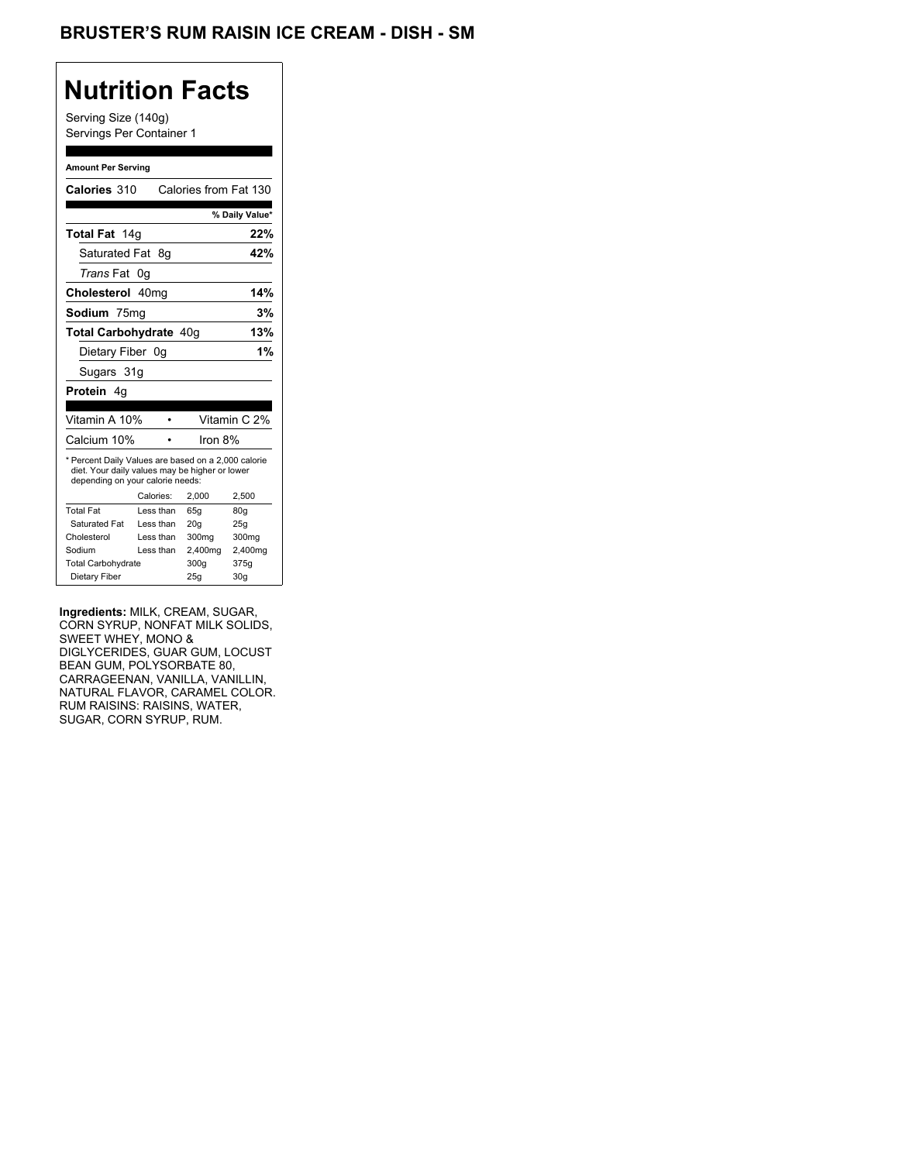## **Nutrition Facts**

Serving Size (140g) Servings Per Container 1

#### **Amount Per Serving**

| Calories 310                                                                                                                              |           | Calories from Fat 130 |              |                 |
|-------------------------------------------------------------------------------------------------------------------------------------------|-----------|-----------------------|--------------|-----------------|
|                                                                                                                                           |           |                       |              | % Daily Value*  |
| Total Fat 14g                                                                                                                             |           |                       |              | 22%             |
| Saturated Fat                                                                                                                             | 8g        |                       |              | 42%             |
| <i>Trans</i> Fat                                                                                                                          | 0g        |                       |              |                 |
| Cholesterol 40mg                                                                                                                          |           |                       |              | 14%             |
| Sodium 75mg                                                                                                                               |           |                       |              | 3%              |
| <b>Total Carbohydrate 40g</b>                                                                                                             |           |                       |              | 13%             |
| Dietary Fiber 0g                                                                                                                          |           |                       |              | 1%              |
| Sugars 31g                                                                                                                                |           |                       |              |                 |
| Protein 4q                                                                                                                                |           |                       |              |                 |
|                                                                                                                                           |           |                       |              |                 |
| Vitamin A 10%                                                                                                                             |           |                       | Vitamin C 2% |                 |
| Calcium 10%                                                                                                                               |           |                       | Iron 8%      |                 |
| * Percent Daily Values are based on a 2,000 calorie<br>diet. Your daily values may be higher or lower<br>depending on your calorie needs: |           |                       |              |                 |
|                                                                                                                                           | Calories: | 2.000                 |              | 2,500           |
| <b>Total Fat</b>                                                                                                                          | Less than | 65q                   |              | 80 <sub>g</sub> |
| Saturated Fat                                                                                                                             | Less than | 20q                   |              | 25q             |
| Cholesterol                                                                                                                               | Less than | 300mg                 |              | 300mg           |
| Sodium                                                                                                                                    | Less than |                       | 2,400mg      | 2,400mg         |
| <b>Total Carbohydrate</b>                                                                                                                 |           | 300g                  |              | 375g            |
| Dietary Fiber                                                                                                                             |           | 25q                   |              | 30 <sub>g</sub> |

**Ingredients:** MILK, CREAM, SUGAR, CORN SYRUP, NONFAT MILK SOLIDS, SWEET WHEY, MONO & DIGLYCERIDES, GUAR GUM, LOCUST BEAN GUM, POLYSORBATE 80, CARRAGEENAN, VANILLA, VANILLIN, NATURAL FLAVOR, CARAMEL COLOR. RUM RAISINS: RAISINS, WATER, SUGAR, CORN SYRUP, RUM.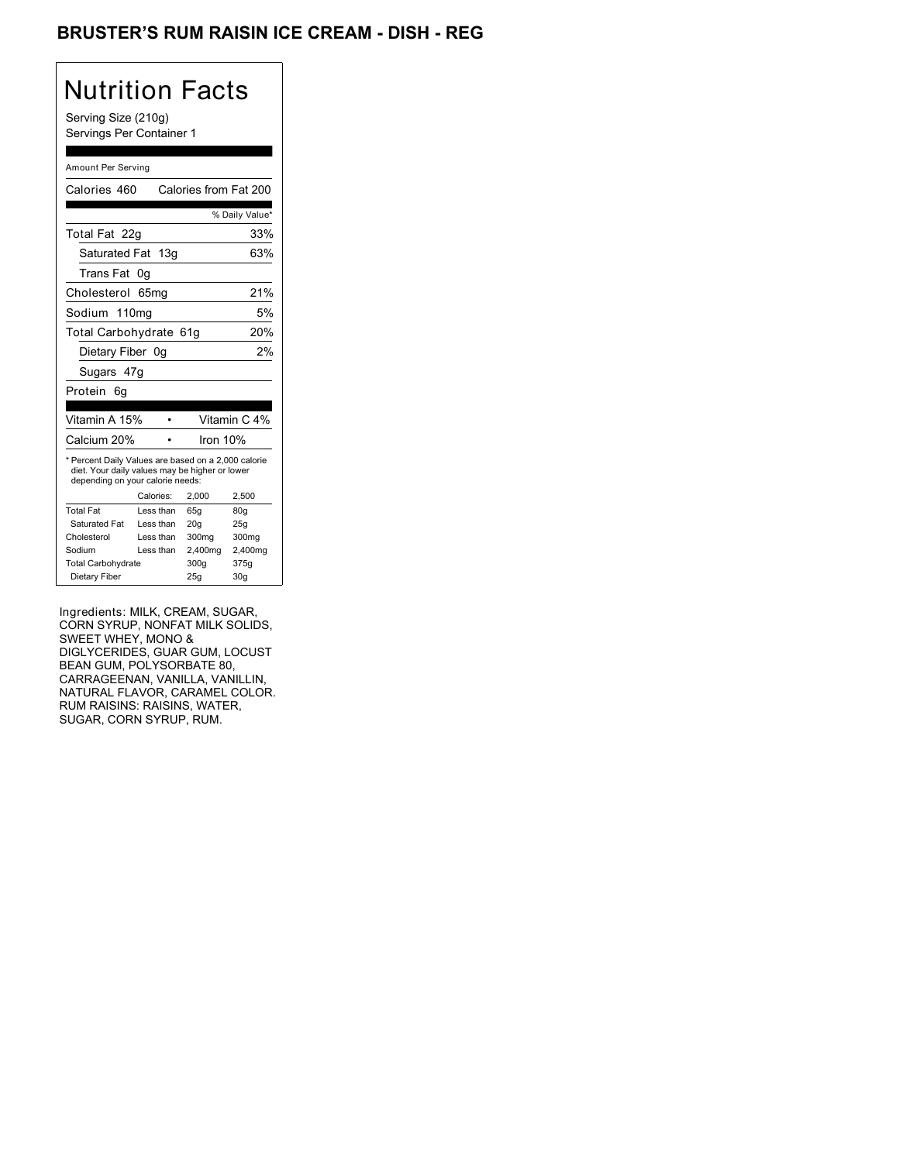## BRUSTER'S RUM RAISIN ICE CREAM - DISH - REG

# Nutrition Facts

Serving Size (210g) Servings Per Container 1

#### Amount Per Serving

| Calories 460                                                                                                                              |    |           | Calories from Fat 200 |                 |                |
|-------------------------------------------------------------------------------------------------------------------------------------------|----|-----------|-----------------------|-----------------|----------------|
|                                                                                                                                           |    |           |                       |                 | % Daily Value* |
| Total Fat 22q                                                                                                                             |    |           |                       |                 | 33%            |
| Saturated Fat 13g                                                                                                                         |    |           |                       |                 | 63%            |
| Trans Fat                                                                                                                                 | 0g |           |                       |                 |                |
| Cholesterol 65mg                                                                                                                          |    |           |                       |                 | 21%            |
| Sodium 110mg                                                                                                                              |    |           |                       |                 | 5%             |
| Total Carbohydrate 61g                                                                                                                    |    |           |                       |                 | 20%            |
| Dietary Fiber 0q                                                                                                                          |    |           |                       |                 | 2%             |
| Sugars 47g                                                                                                                                |    |           |                       |                 |                |
| Protein<br>6g                                                                                                                             |    |           |                       |                 |                |
|                                                                                                                                           |    |           |                       |                 |                |
| Vitamin A 15%                                                                                                                             |    |           |                       |                 | Vitamin C 4%   |
| Calcium 20%                                                                                                                               |    |           |                       | Iron 10%        |                |
| * Percent Daily Values are based on a 2,000 calorie<br>diet. Your daily values may be higher or lower<br>depending on your calorie needs: |    |           |                       |                 |                |
|                                                                                                                                           |    | Calories: | 2.000                 | 2,500           |                |
| <b>Total Fat</b>                                                                                                                          |    | Less than | 65q                   | 80q             |                |
| Saturated Fat                                                                                                                             |    | Less than | 20q                   | 25q             |                |
| Cholesterol                                                                                                                               |    | Less than | 300mg                 |                 | 300mg          |
| Sodium                                                                                                                                    |    | Less than | 2,400mg               |                 | 2,400mg        |
| <b>Total Carbohydrate</b>                                                                                                                 |    |           | 300a                  | 375g            |                |
| Dietary Fiber                                                                                                                             |    |           | 25q                   | 30 <sub>g</sub> |                |

Ingredients: MILK, CREAM, SUGAR, CORN SYRUP, NONFAT MILK SOLIDS, SWEET WHEY, MONO & DIGLYCERIDES, GUAR GUM, LOCUST BEAN GUM, POLYSORBATE 80, CARRAGEENAN, VANILLA, VANILLIN, NATURAL FLAVOR, CARAMEL COLOR. RUM RAISINS: RAISINS, WATER, SUGAR, CORN SYRUP, RUM.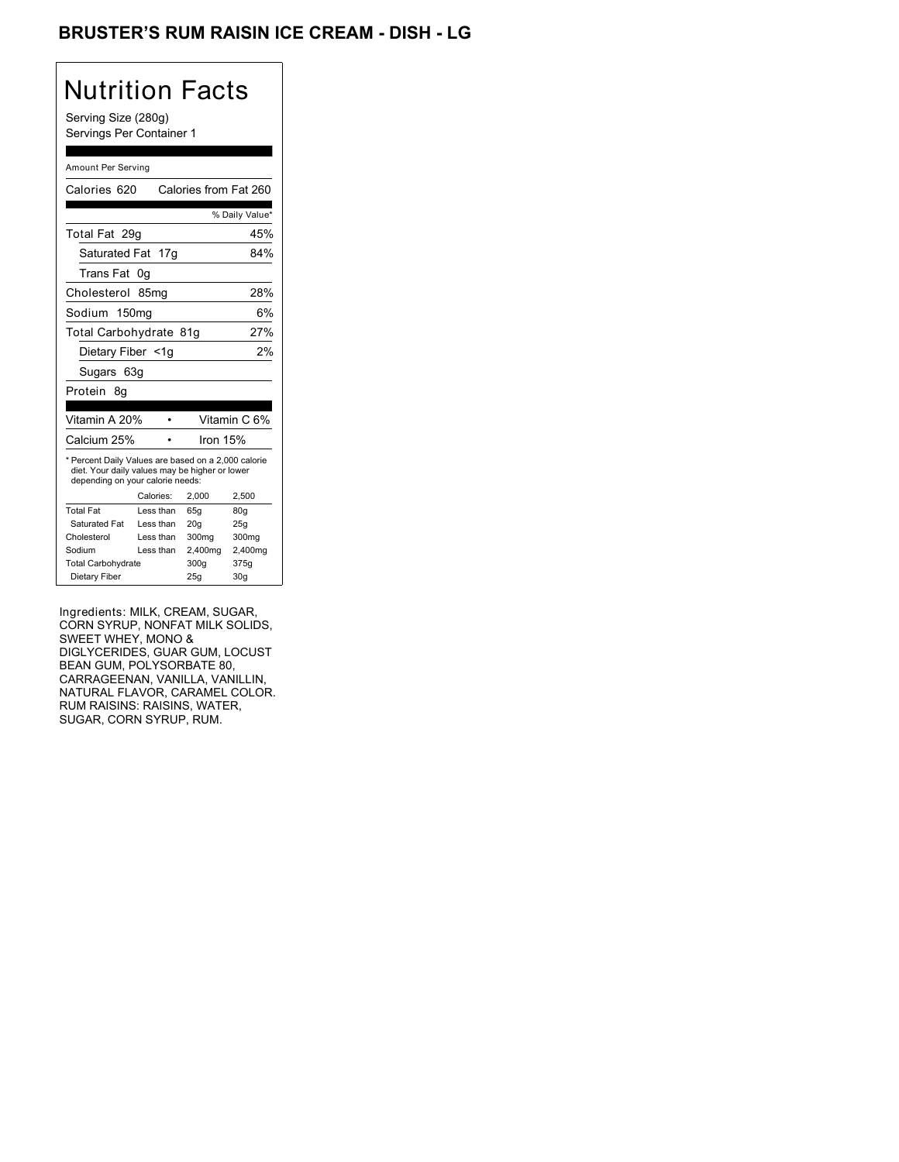## BRUSTER'S RUM RAISIN ICE CREAM - DISH - LG

# Nutrition Facts

Serving Size (280g) Servings Per Container 1

#### Amount Per Serving

| Calories 620                                                                                                                              |           | Calories from Fat 260 |                 |
|-------------------------------------------------------------------------------------------------------------------------------------------|-----------|-----------------------|-----------------|
|                                                                                                                                           |           |                       | % Daily Value*  |
| Total Fat 29q                                                                                                                             |           |                       | 45%             |
| Saturated Fat 17g                                                                                                                         |           |                       | 84%             |
| Trans Fat                                                                                                                                 | 0g        |                       |                 |
| Cholesterol 85mg                                                                                                                          |           |                       | 28%             |
| Sodium 150mg                                                                                                                              |           |                       | 6%              |
| Total Carbohydrate 81g                                                                                                                    |           |                       | 27%             |
| Dietary Fiber <1g                                                                                                                         |           |                       | 2%              |
| Sugars 63g                                                                                                                                |           |                       |                 |
| Protein 8q                                                                                                                                |           |                       |                 |
|                                                                                                                                           |           |                       |                 |
| Vitamin A 20%                                                                                                                             |           |                       | Vitamin C 6%    |
| Calcium 25%                                                                                                                               |           | Iron 15%              |                 |
| * Percent Daily Values are based on a 2,000 calorie<br>diet. Your daily values may be higher or lower<br>depending on your calorie needs: |           |                       |                 |
|                                                                                                                                           | Calories: | 2.000                 | 2,500           |
| <b>Total Fat</b>                                                                                                                          | Less than | 65q                   | 80q             |
| Saturated Fat                                                                                                                             | Less than | 20 <sub>g</sub>       | 25g             |
| Cholesterol                                                                                                                               | Less than | 300mg                 | 300mg           |
| Sodium                                                                                                                                    | Less than | 2,400mg               | 2,400mg         |
| <b>Total Carbohydrate</b>                                                                                                                 |           | 300g                  | 375g            |
| Dietary Fiber                                                                                                                             |           | 25q                   | 30 <sub>q</sub> |

Ingredients: MILK, CREAM, SUGAR, CORN SYRUP, NONFAT MILK SOLIDS, SWEET WHEY, MONO & DIGLYCERIDES, GUAR GUM, LOCUST BEAN GUM, POLYSORBATE 80, CARRAGEENAN, VANILLA, VANILLIN, NATURAL FLAVOR, CARAMEL COLOR. RUM RAISINS: RAISINS, WATER, SUGAR, CORN SYRUP, RUM.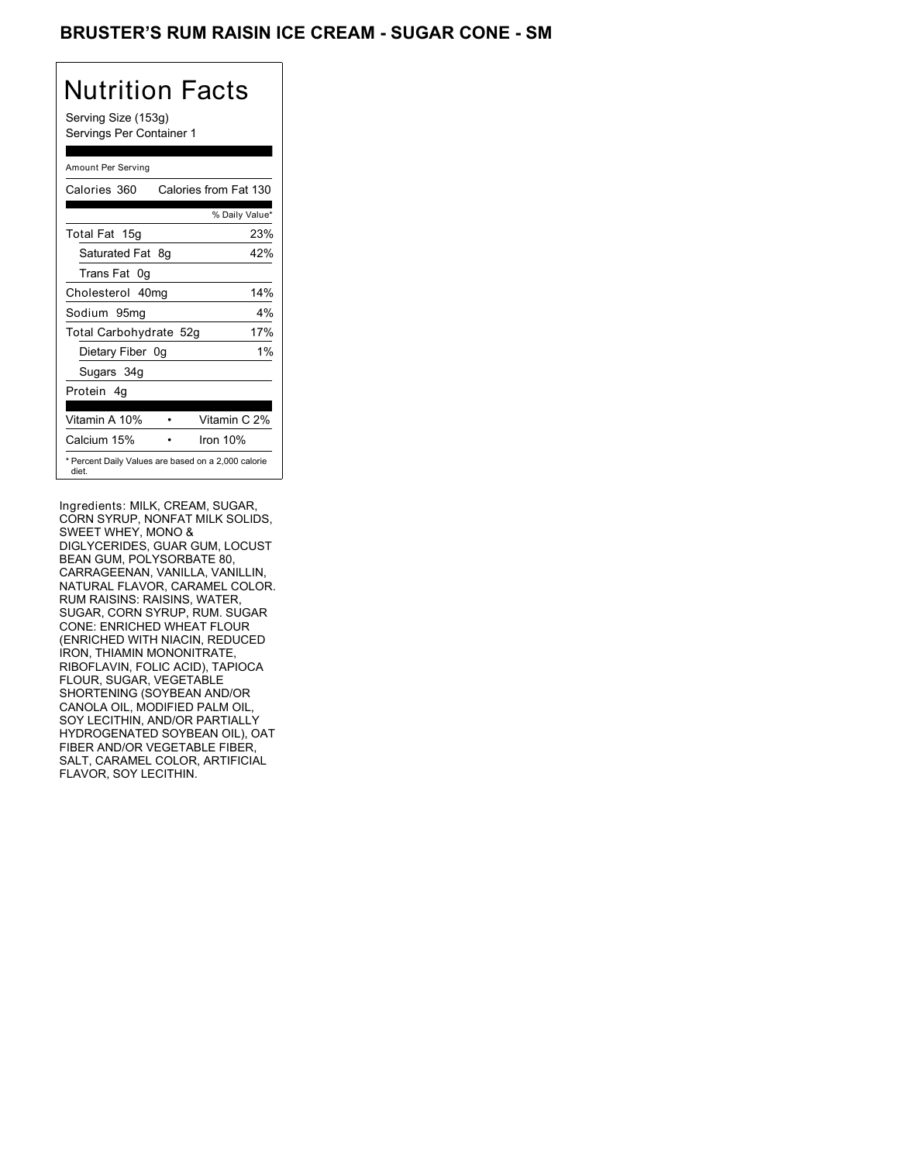## BRUSTER'S RUM RAISIN ICE CREAM - SUGAR CONE - SM

# Nutrition Facts

Serving Size (153g) Servings Per Container 1

#### Amount Per Serving

| Calories 360                                                 |    | Calories from Fat 130 |       |
|--------------------------------------------------------------|----|-----------------------|-------|
|                                                              |    | % Daily Value*        |       |
| Total Fat 15g                                                |    |                       | 23%   |
| Saturated Fat                                                | 8g |                       | 42%   |
| Trans Fat 0q                                                 |    |                       |       |
| Cholesterol 40mg                                             |    |                       | 14%   |
| Sodium 95mg                                                  |    |                       | 4%    |
| Total Carbohydrate 52g                                       |    |                       | 17%   |
| Dietary Fiber 0g                                             |    |                       | $1\%$ |
| Sugars 34g                                                   |    |                       |       |
| Protein 4q                                                   |    |                       |       |
| Vitamin A 10%                                                |    | Vitamin C 2%          |       |
| Calcium 15%                                                  |    | Iron $10%$            |       |
| * Percent Daily Values are based on a 2,000 calorie<br>diet. |    |                       |       |

Ingredients: MILK, CREAM, SUGAR, CORN SYRUP, NONFAT MILK SOLIDS, SWEET WHEY, MONO & DIGLYCERIDES, GUAR GUM, LOCUST BEAN GUM, POLYSORBATE 80, CARRAGEENAN, VANILLA, VANILLIN, NATURAL FLAVOR, CARAMEL COLOR. RUM RAISINS: RAISINS, WATER, SUGAR, CORN SYRUP, RUM. SUGAR CONE: ENRICHED WHEAT FLOUR (ENRICHED WITH NIACIN, REDUCED IRON, THIAMIN MONONITRATE, RIBOFLAVIN, FOLIC ACID), TAPIOCA FLOUR, SUGAR, VEGETABLE SHORTENING (SOYBEAN AND/OR CANOLA OIL, MODIFIED PALM OIL, SOY LECITHIN, AND/OR PARTIALLY HYDROGENATED SOYBEAN OIL), OAT FIBER AND/OR VEGETABLE FIBER, SALT, CARAMEL COLOR, ARTIFICIAL FLAVOR, SOY LECITHIN.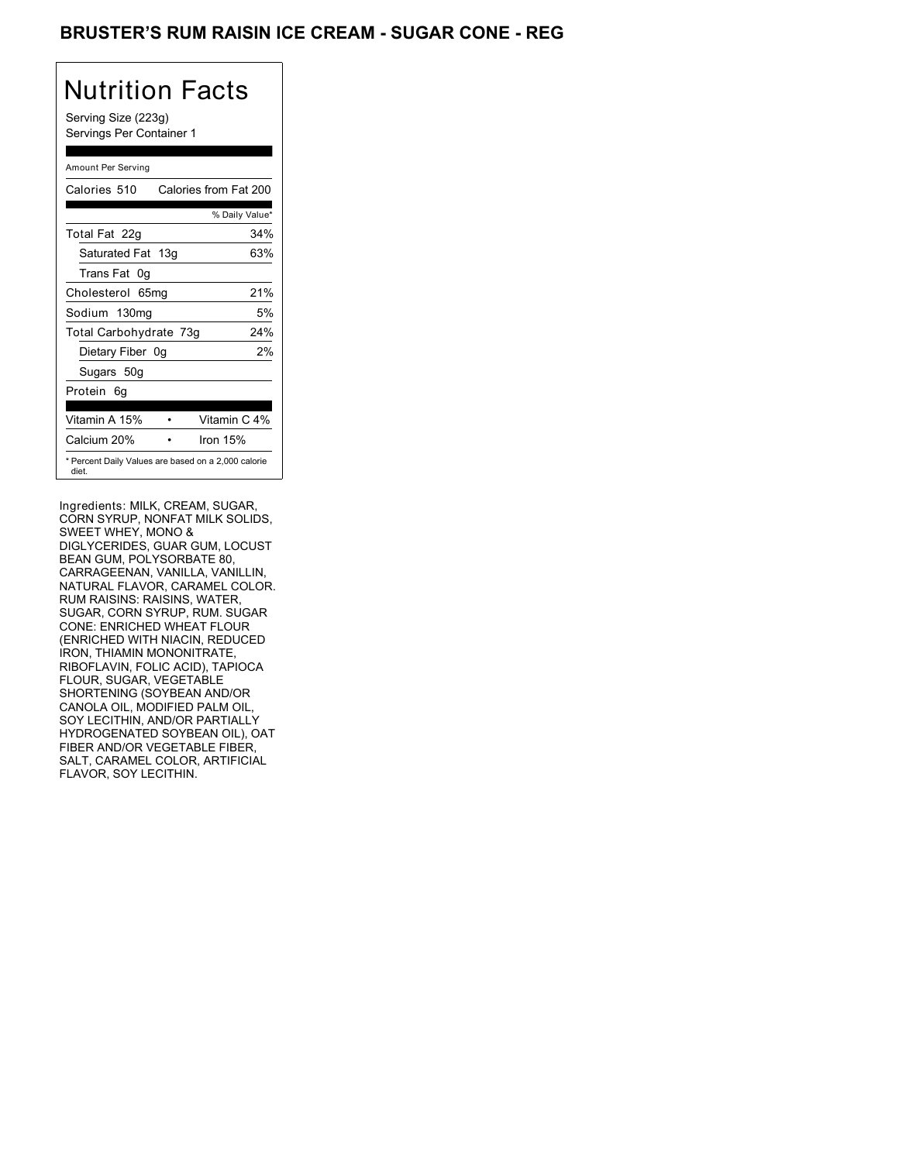## BRUSTER'S RUM RAISIN ICE CREAM - SUGAR CONE - REG

# Nutrition Facts

Serving Size (223g) Servings Per Container 1

#### Amount Per Serving

| Calories 510           | Calories from Fat 200                               |
|------------------------|-----------------------------------------------------|
|                        | % Daily Value*                                      |
| Total Fat 22g          | 34%                                                 |
| Saturated Fat 13g      | 63%                                                 |
| Trans Fat 0q           |                                                     |
| Cholesterol 65mg       | 21%                                                 |
| Sodium 130mg           | 5%                                                  |
| Total Carbohydrate 73g | 24%                                                 |
| Dietary Fiber 0g       | 2%                                                  |
| Sugars 50g             |                                                     |
| Protein 6q             |                                                     |
|                        |                                                     |
| Vitamin A 15%          | Vitamin C 4%                                        |
| Calcium 20%            | Iron $15%$                                          |
| diet.                  | * Percent Daily Values are based on a 2,000 calorie |

Ingredients: MILK, CREAM, SUGAR, CORN SYRUP, NONFAT MILK SOLIDS, SWEET WHEY, MONO & DIGLYCERIDES, GUAR GUM, LOCUST BEAN GUM, POLYSORBATE 80, CARRAGEENAN, VANILLA, VANILLIN, NATURAL FLAVOR, CARAMEL COLOR. RUM RAISINS: RAISINS, WATER, SUGAR, CORN SYRUP, RUM. SUGAR CONE: ENRICHED WHEAT FLOUR (ENRICHED WITH NIACIN, REDUCED IRON, THIAMIN MONONITRATE, RIBOFLAVIN, FOLIC ACID), TAPIOCA FLOUR, SUGAR, VEGETABLE SHORTENING (SOYBEAN AND/OR CANOLA OIL, MODIFIED PALM OIL, SOY LECITHIN, AND/OR PARTIALLY HYDROGENATED SOYBEAN OIL), OAT FIBER AND/OR VEGETABLE FIBER, SALT, CARAMEL COLOR, ARTIFICIAL FLAVOR, SOY LECITHIN.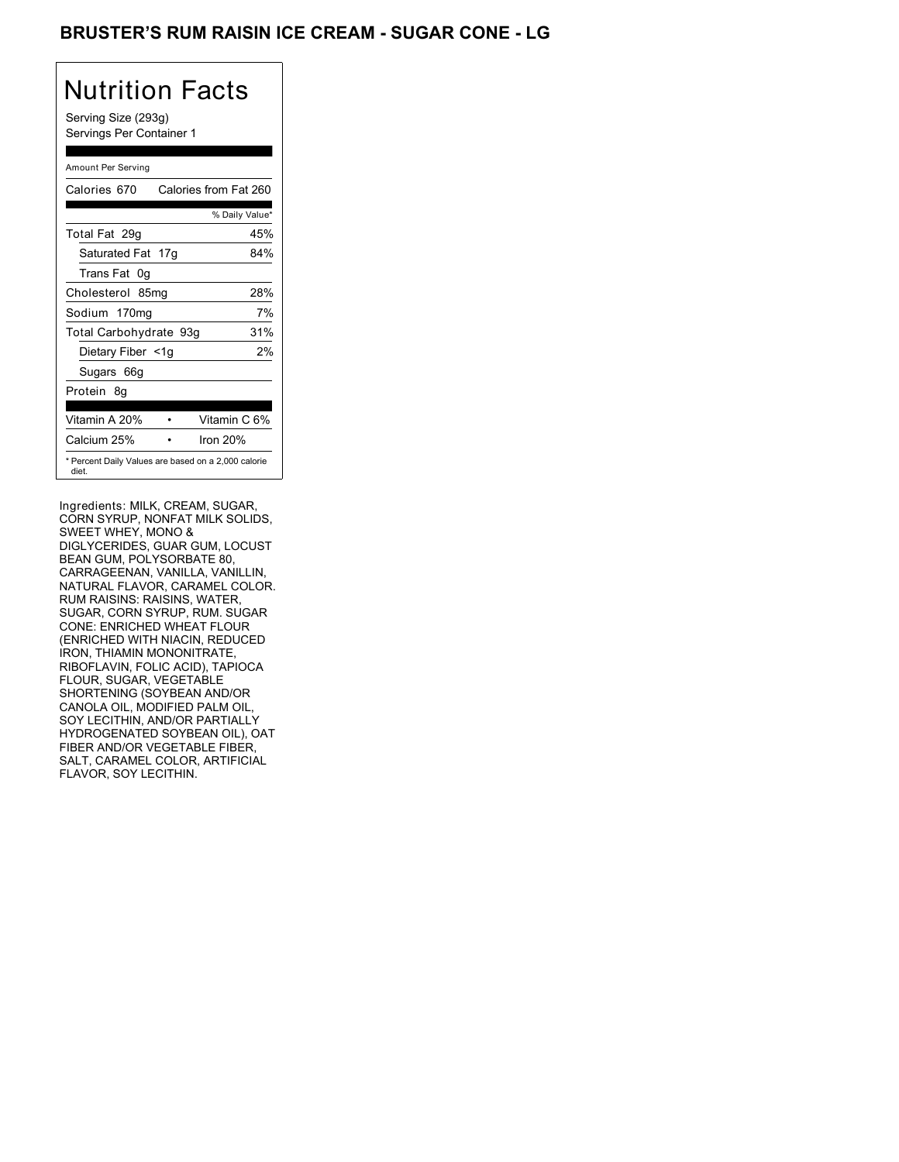## BRUSTER'S RUM RAISIN ICE CREAM - SUGAR CONE - LG

# Nutrition Facts

Serving Size (293g) Servings Per Container 1

#### Amount Per Serving

| Calories 670           | Calories from Fat 260                               |
|------------------------|-----------------------------------------------------|
|                        | % Daily Value*                                      |
| Total Fat 29q          | 45%                                                 |
| Saturated Fat 17g      | 84%                                                 |
| Trans Fat 0q           |                                                     |
| Cholesterol 85mg       | 28%                                                 |
| Sodium 170mg           | 7%                                                  |
| Total Carbohydrate 93g | 31%                                                 |
| Dietary Fiber <1g      | 2%                                                  |
| Sugars 66g             |                                                     |
| Protein 8q             |                                                     |
| Vitamin A 20%          | Vitamin C 6%                                        |
| Calcium 25%            | Iron $20%$                                          |
| diet.                  | * Percent Daily Values are based on a 2,000 calorie |

Ingredients: MILK, CREAM, SUGAR, CORN SYRUP, NONFAT MILK SOLIDS, SWEET WHEY, MONO & DIGLYCERIDES, GUAR GUM, LOCUST BEAN GUM, POLYSORBATE 80, CARRAGEENAN, VANILLA, VANILLIN, NATURAL FLAVOR, CARAMEL COLOR. RUM RAISINS: RAISINS, WATER, SUGAR, CORN SYRUP, RUM. SUGAR CONE: ENRICHED WHEAT FLOUR (ENRICHED WITH NIACIN, REDUCED IRON, THIAMIN MONONITRATE, RIBOFLAVIN, FOLIC ACID), TAPIOCA FLOUR, SUGAR, VEGETABLE SHORTENING (SOYBEAN AND/OR CANOLA OIL, MODIFIED PALM OIL, SOY LECITHIN, AND/OR PARTIALLY HYDROGENATED SOYBEAN OIL), OAT FIBER AND/OR VEGETABLE FIBER, SALT, CARAMEL COLOR, ARTIFICIAL FLAVOR, SOY LECITHIN.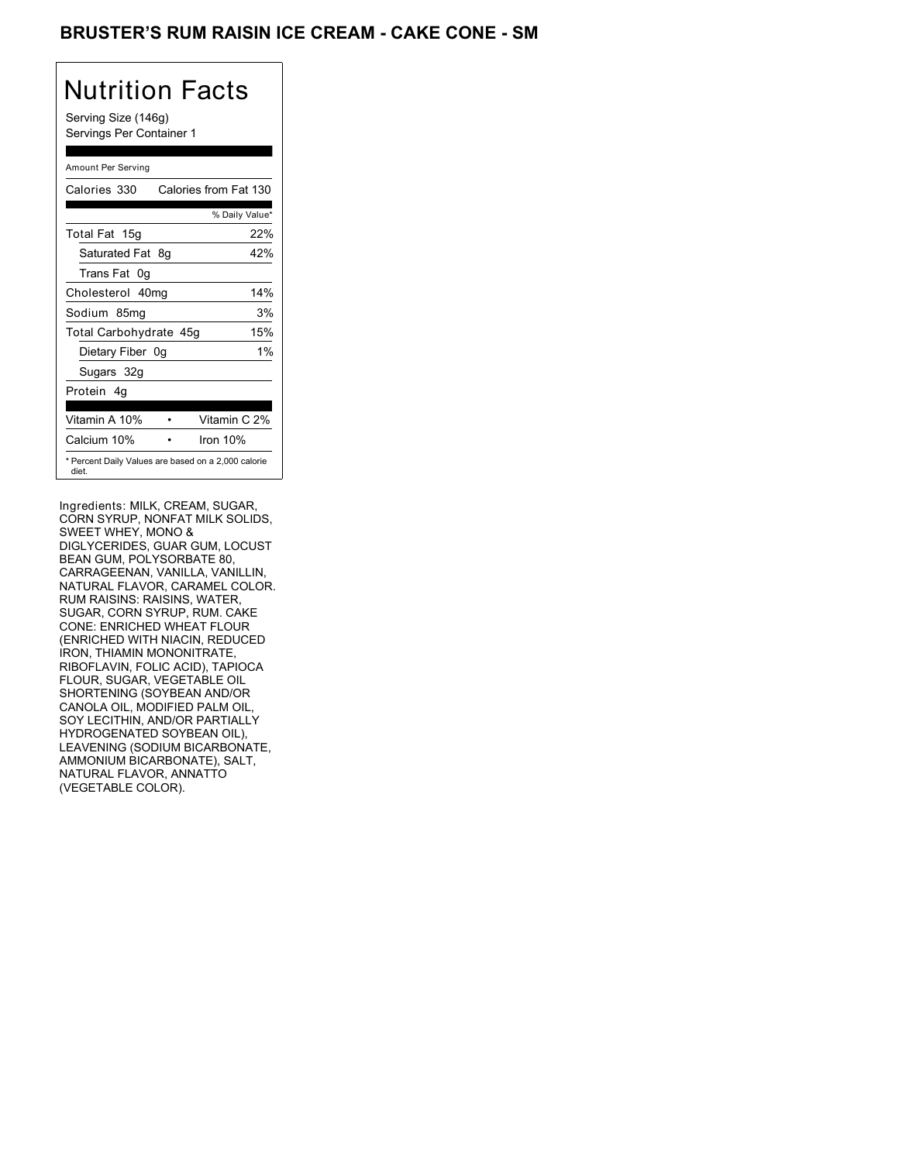## BRUSTER'S RUM RAISIN ICE CREAM - CAKE CONE - SM

## Nutrition Facts

Serving Size (146g) Servings Per Container 1

#### Amount Per Serving

| Calories 330           |    | Calories from Fat 130                               |
|------------------------|----|-----------------------------------------------------|
|                        |    | % Daily Value*                                      |
| Total Fat 15g          |    | 22%                                                 |
| Saturated Fat          | 8g | 42%                                                 |
| Trans Fat 0q           |    |                                                     |
| Cholesterol 40mg       |    | 14%                                                 |
| Sodium 85mg            |    | 3%                                                  |
| Total Carbohydrate 45g |    | 15%                                                 |
| Dietary Fiber 0g       |    | $1\%$                                               |
| Sugars 32g             |    |                                                     |
| Protein 4q             |    |                                                     |
| Vitamin A 10%          |    | Vitamin C 2%                                        |
| Calcium 10%            |    | Iron $10%$                                          |
| diet.                  |    | * Percent Daily Values are based on a 2,000 calorie |

Ingredients: MILK, CREAM, SUGAR, CORN SYRUP, NONFAT MILK SOLIDS, SWEET WHEY, MONO & DIGLYCERIDES, GUAR GUM, LOCUST BEAN GUM, POLYSORBATE 80, CARRAGEENAN, VANILLA, VANILLIN, NATURAL FLAVOR, CARAMEL COLOR. RUM RAISINS: RAISINS, WATER, SUGAR, CORN SYRUP, RUM. CAKE CONE: ENRICHED WHEAT FLOUR (ENRICHED WITH NIACIN, REDUCED IRON, THIAMIN MONONITRATE, RIBOFLAVIN, FOLIC ACID), TAPIOCA FLOUR, SUGAR, VEGETABLE OIL SHORTENING (SOYBEAN AND/OR CANOLA OIL, MODIFIED PALM OIL, SOY LECITHIN, AND/OR PARTIALLY HYDROGENATED SOYBEAN OIL), LEAVENING (SODIUM BICARBONATE, AMMONIUM BICARBONATE), SALT, NATURAL FLAVOR, ANNATTO (VEGETABLE COLOR).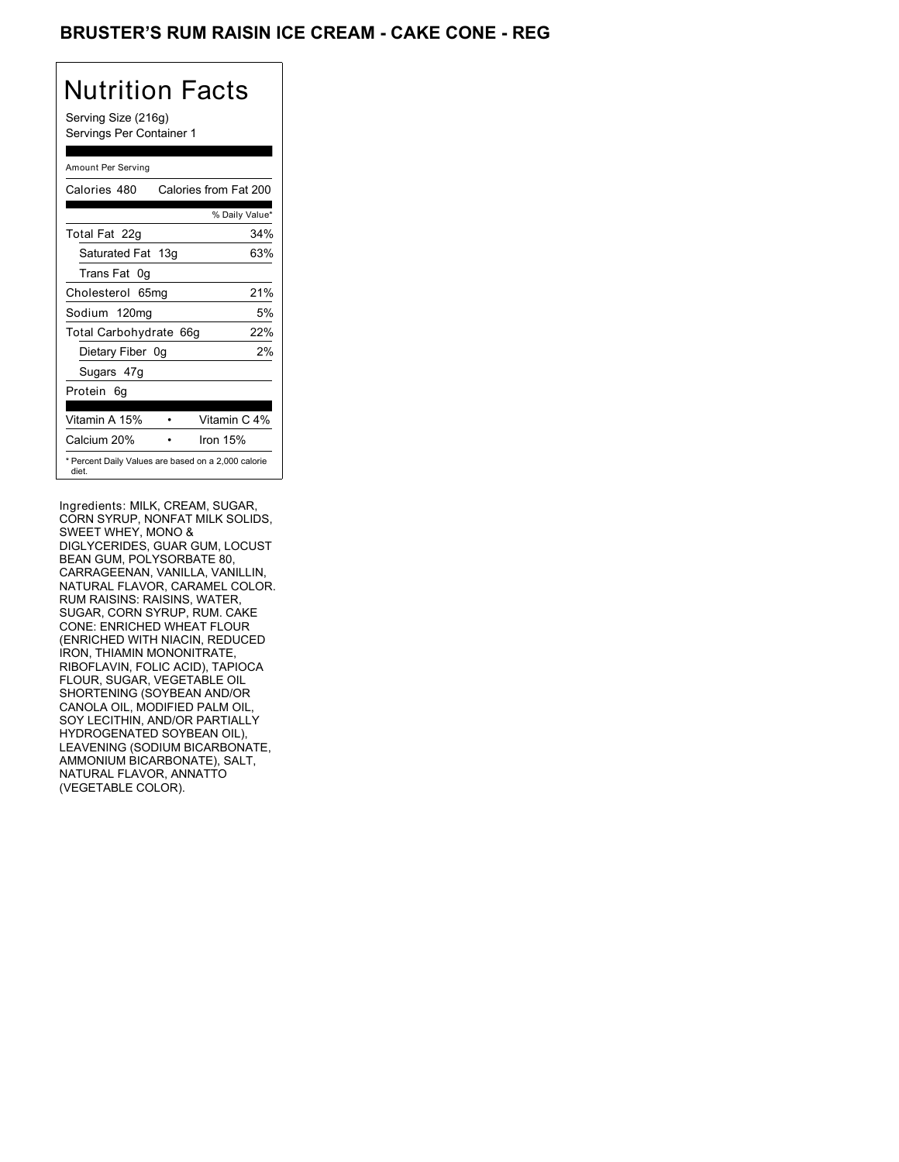## BRUSTER'S RUM RAISIN ICE CREAM - CAKE CONE - REG

## Nutrition Facts

Serving Size (216g) Servings Per Container 1

#### Amount Per Serving

| Calories 480           | Calories from Fat 200                               |
|------------------------|-----------------------------------------------------|
|                        | % Daily Value*                                      |
| Total Fat 22g          | 34%                                                 |
| Saturated Fat 13g      | 63%                                                 |
| Trans Fat 0q           |                                                     |
| Cholesterol 65mg       | 21%                                                 |
| Sodium 120mg           | 5%                                                  |
| Total Carbohydrate 66g | 22%                                                 |
| Dietary Fiber 0g       | 2%                                                  |
| Sugars 47g             |                                                     |
| Protein 6q             |                                                     |
| Vitamin A 15%          | Vitamin C 4%                                        |
| Calcium 20%            | Iron 15%                                            |
| diet.                  | * Percent Daily Values are based on a 2,000 calorie |

Ingredients: MILK, CREAM, SUGAR, CORN SYRUP, NONFAT MILK SOLIDS, SWEET WHEY, MONO & DIGLYCERIDES, GUAR GUM, LOCUST BEAN GUM, POLYSORBATE 80, CARRAGEENAN, VANILLA, VANILLIN, NATURAL FLAVOR, CARAMEL COLOR. RUM RAISINS: RAISINS, WATER, SUGAR, CORN SYRUP, RUM. CAKE CONE: ENRICHED WHEAT FLOUR (ENRICHED WITH NIACIN, REDUCED IRON, THIAMIN MONONITRATE, RIBOFLAVIN, FOLIC ACID), TAPIOCA FLOUR, SUGAR, VEGETABLE OIL SHORTENING (SOYBEAN AND/OR CANOLA OIL, MODIFIED PALM OIL, SOY LECITHIN, AND/OR PARTIALLY HYDROGENATED SOYBEAN OIL), LEAVENING (SODIUM BICARBONATE, AMMONIUM BICARBONATE), SALT, NATURAL FLAVOR, ANNATTO (VEGETABLE COLOR).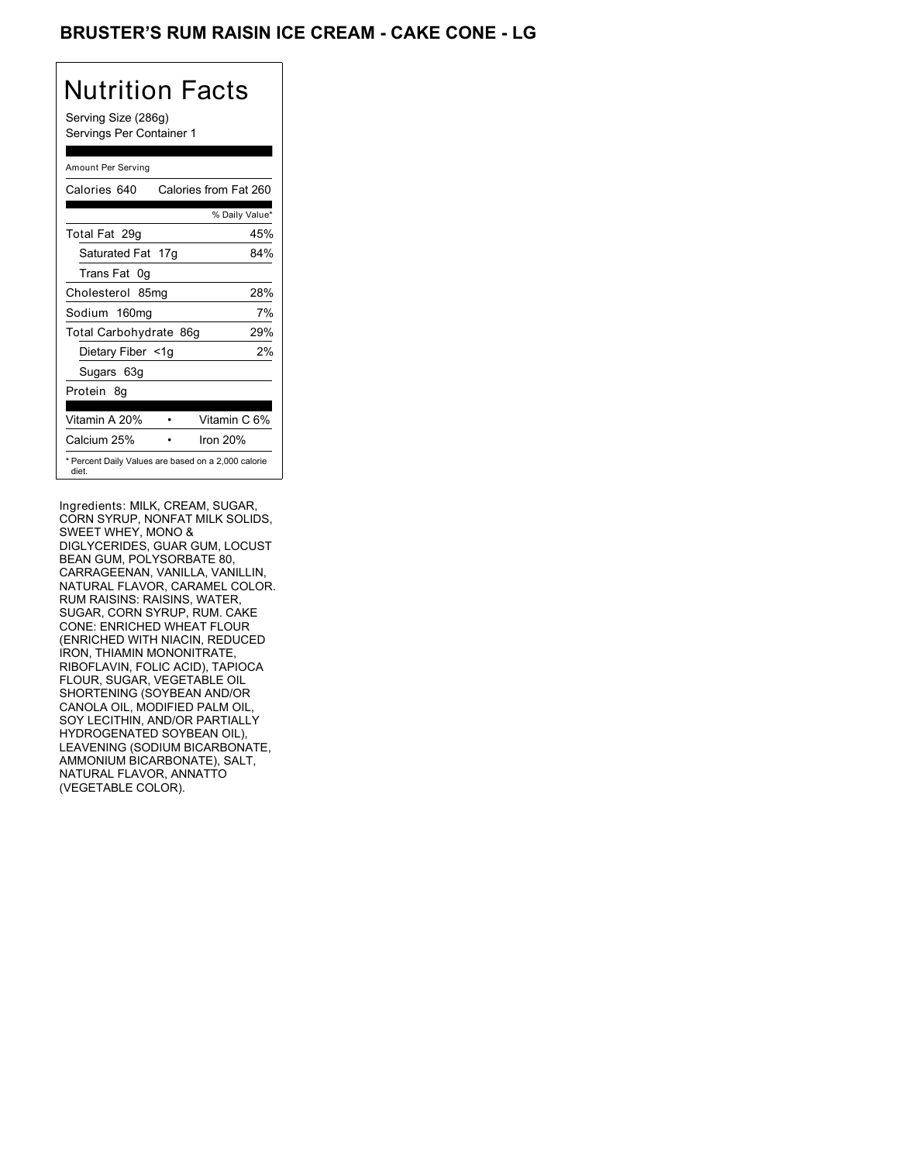## BRUSTER'S RUM RAISIN ICE CREAM - CAKE CONE - LG

# Nutrition Facts

Serving Size (286g) Servings Per Container 1

#### Amount Per Serving

| Calories 640           | Calories from Fat 260                               |
|------------------------|-----------------------------------------------------|
|                        | % Daily Value*                                      |
| Total Fat 29g          | 45%                                                 |
| Saturated Fat 17g      | 84%                                                 |
| Trans Fat 0q           |                                                     |
| Cholesterol 85mg       | 28%                                                 |
| Sodium 160mg           | 7%                                                  |
| Total Carbohydrate 86g | 29%                                                 |
| Dietary Fiber <1g      | 2%                                                  |
| Sugars 63g             |                                                     |
| Protein 8q             |                                                     |
| Vitamin A 20%          | Vitamin C 6%                                        |
| Calcium 25%            | Iron $20%$                                          |
| diet.                  | * Percent Daily Values are based on a 2,000 calorie |

Ingredients: MILK, CREAM, SUGAR, CORN SYRUP, NONFAT MILK SOLIDS, SWEET WHEY, MONO & DIGLYCERIDES, GUAR GUM, LOCUST BEAN GUM, POLYSORBATE 80, CARRAGEENAN, VANILLA, VANILLIN, NATURAL FLAVOR, CARAMEL COLOR. RUM RAISINS: RAISINS, WATER, SUGAR, CORN SYRUP, RUM. CAKE CONE: ENRICHED WHEAT FLOUR (ENRICHED WITH NIACIN, REDUCED IRON, THIAMIN MONONITRATE, RIBOFLAVIN, FOLIC ACID), TAPIOCA FLOUR, SUGAR, VEGETABLE OIL SHORTENING (SOYBEAN AND/OR CANOLA OIL, MODIFIED PALM OIL, SOY LECITHIN, AND/OR PARTIALLY HYDROGENATED SOYBEAN OIL), LEAVENING (SODIUM BICARBONATE, AMMONIUM BICARBONATE), SALT, NATURAL FLAVOR, ANNATTO (VEGETABLE COLOR).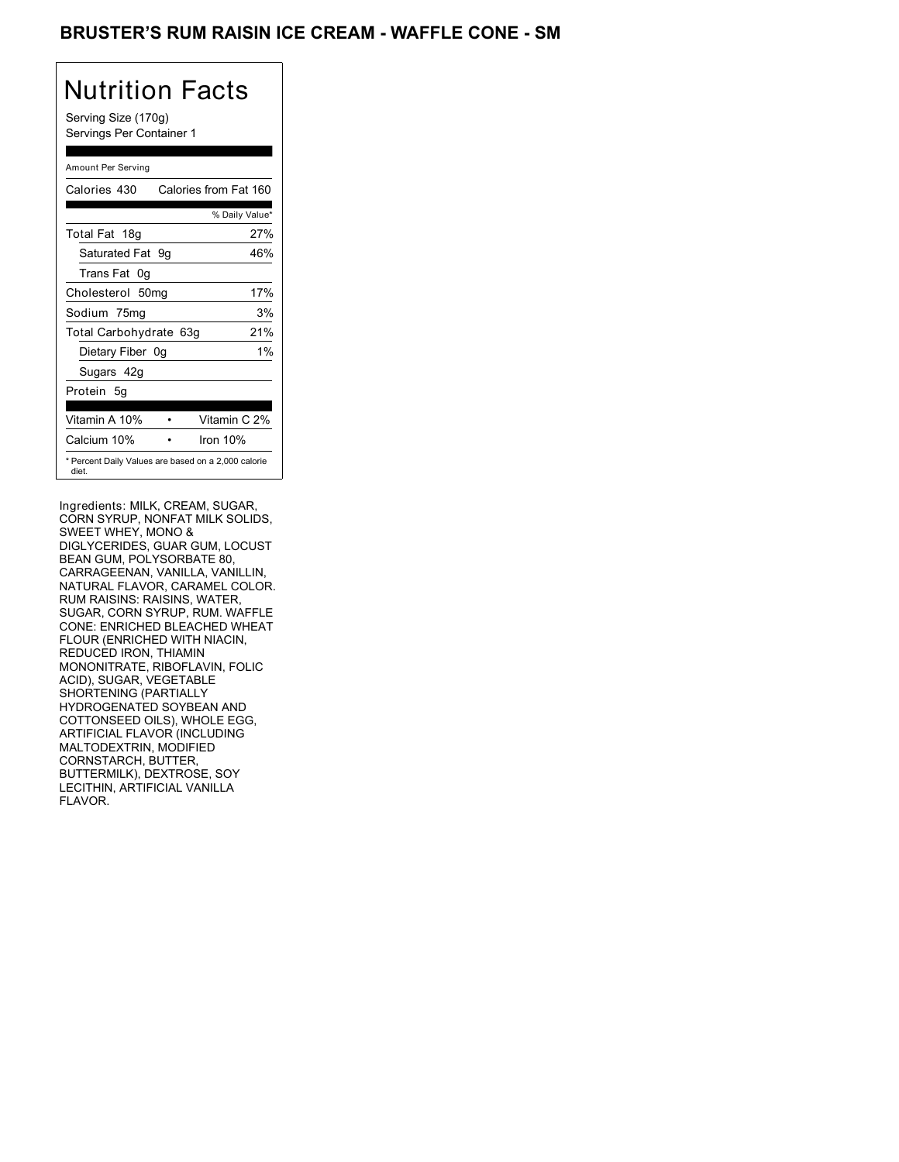## BRUSTER'S RUM RAISIN ICE CREAM - WAFFLE CONE - SM

# Nutrition Facts

Serving Size (170g) Servings Per Container 1

#### Amount Per Serving

| Calories 430           | Calories from Fat 160                               |
|------------------------|-----------------------------------------------------|
|                        | % Daily Value*                                      |
| Total Fat 18g          | 27%                                                 |
| Saturated Fat 9g       | 46%                                                 |
| Trans Fat 0q           |                                                     |
| Cholesterol 50mg       | 17%                                                 |
| Sodium 75mg            | 3%                                                  |
| Total Carbohydrate 63g | 21%                                                 |
| Dietary Fiber 0g       | $1\%$                                               |
| Sugars 42g             |                                                     |
| Protein 5q             |                                                     |
| Vitamin A 10%          | Vitamin C 2%                                        |
| Calcium 10%            | Iron $10%$                                          |
| diet.                  | * Percent Daily Values are based on a 2,000 calorie |

Ingredients: MILK, CREAM, SUGAR, CORN SYRUP, NONFAT MILK SOLIDS, SWEET WHEY, MONO & DIGLYCERIDES, GUAR GUM, LOCUST BEAN GUM, POLYSORBATE 80, CARRAGEENAN, VANILLA, VANILLIN, NATURAL FLAVOR, CARAMEL COLOR. RUM RAISINS: RAISINS, WATER, SUGAR, CORN SYRUP, RUM. WAFFLE CONE: ENRICHED BLEACHED WHEAT FLOUR (ENRICHED WITH NIACIN, REDUCED IRON, THIAMIN MONONITRATE, RIBOFLAVIN, FOLIC ACID), SUGAR, VEGETABLE SHORTENING (PARTIALLY HYDROGENATED SOYBEAN AND COTTONSEED OILS), WHOLE EGG, ARTIFICIAL FLAVOR (INCLUDING MALTODEXTRIN, MODIFIED CORNSTARCH, BUTTER, BUTTERMILK), DEXTROSE, SOY LECITHIN, ARTIFICIAL VANILLA FLAVOR.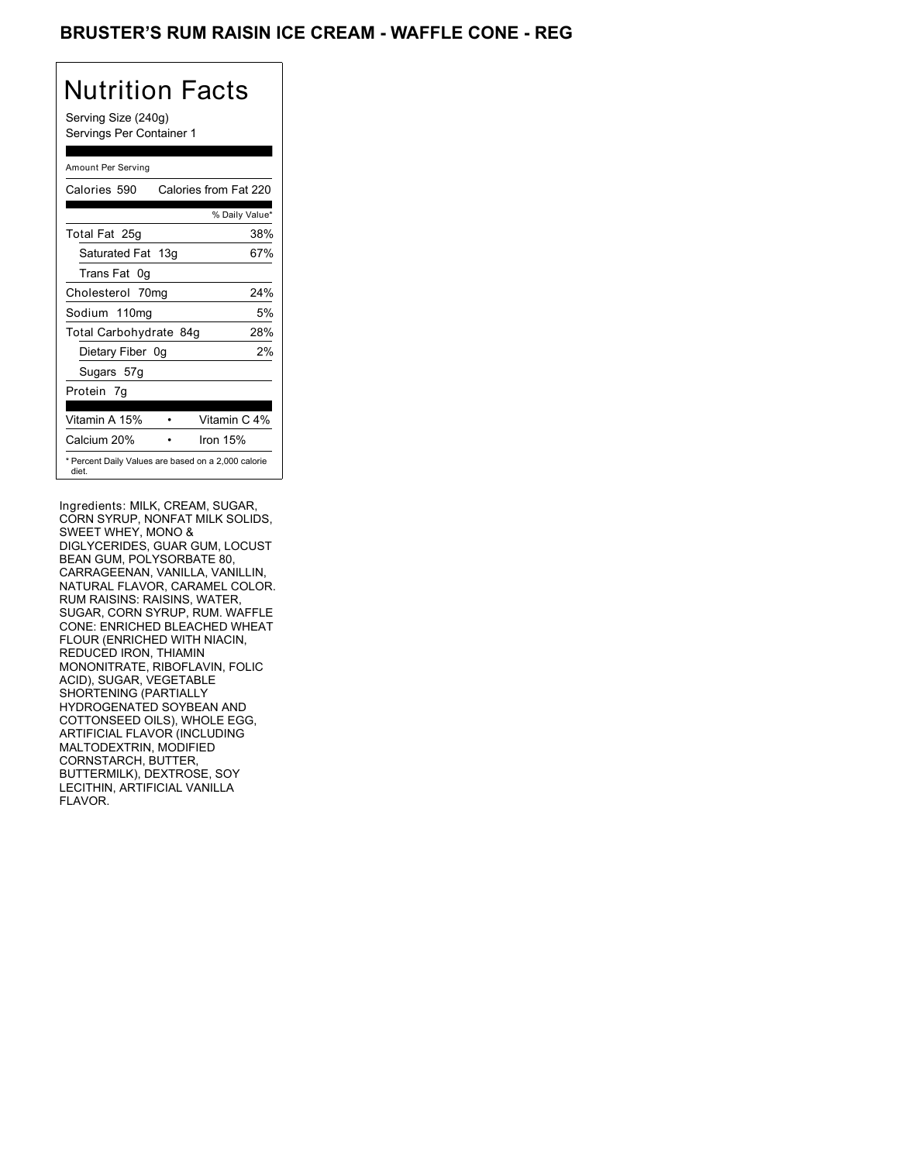## BRUSTER'S RUM RAISIN ICE CREAM - WAFFLE CONE - REG

# Nutrition Facts

Serving Size (240g) Servings Per Container 1

#### Amount Per Serving

| Calories 590           | Calories from Fat 220                               |
|------------------------|-----------------------------------------------------|
|                        | % Daily Value*                                      |
| Total Fat 25g          | 38%                                                 |
| Saturated Fat 13g      | 67%                                                 |
| Trans Fat 0q           |                                                     |
| Cholesterol 70mg       | 24%                                                 |
| Sodium 110mg           | 5%                                                  |
| Total Carbohydrate 84g | 28%                                                 |
| Dietary Fiber 0g       | 2%                                                  |
| Sugars 57g             |                                                     |
| Protein 7q             |                                                     |
|                        |                                                     |
| Vitamin A 15%          | Vitamin C 4%                                        |
| Calcium 20%            | Iron $15%$                                          |
| diet.                  | * Percent Daily Values are based on a 2,000 calorie |

Ingredients: MILK, CREAM, SUGAR, CORN SYRUP, NONFAT MILK SOLIDS, SWEET WHEY, MONO & DIGLYCERIDES, GUAR GUM, LOCUST BEAN GUM, POLYSORBATE 80, CARRAGEENAN, VANILLA, VANILLIN, NATURAL FLAVOR, CARAMEL COLOR. RUM RAISINS: RAISINS, WATER, SUGAR, CORN SYRUP, RUM. WAFFLE CONE: ENRICHED BLEACHED WHEAT FLOUR (ENRICHED WITH NIACIN, REDUCED IRON, THIAMIN MONONITRATE, RIBOFLAVIN, FOLIC ACID), SUGAR, VEGETABLE SHORTENING (PARTIALLY HYDROGENATED SOYBEAN AND COTTONSEED OILS), WHOLE EGG, ARTIFICIAL FLAVOR (INCLUDING MALTODEXTRIN, MODIFIED CORNSTARCH, BUTTER, BUTTERMILK), DEXTROSE, SOY LECITHIN, ARTIFICIAL VANILLA FLAVOR.